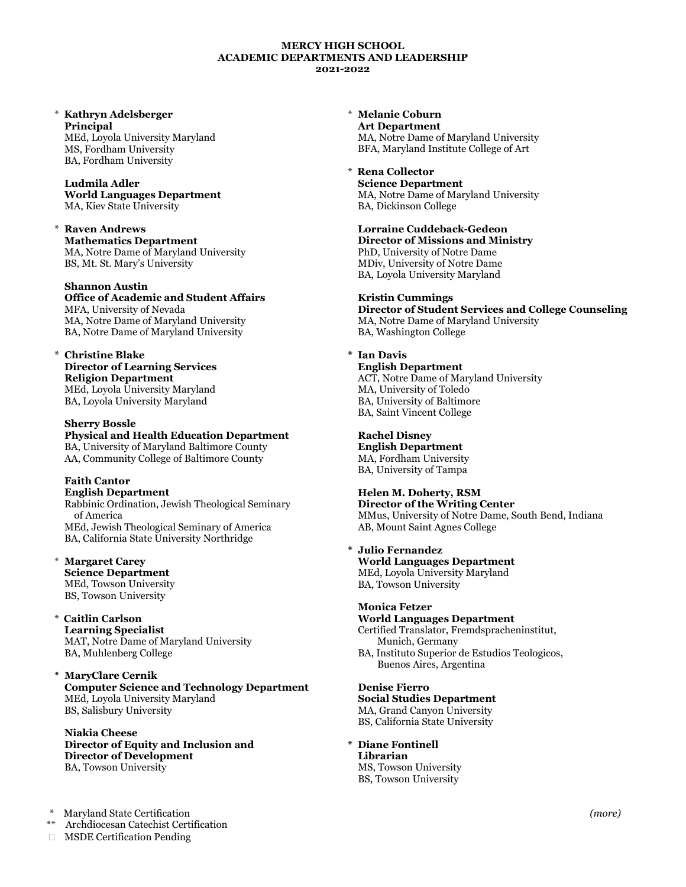#### **MERCY HIGH SCHOOL ACADEMIC DEPARTMENTS AND LEADERSHIP 2021-2022**

# \* **Kathryn Adelsberger Principal**

MEd, Loyola University Maryland MS, Fordham University BA, Fordham University

#### **Ludmila Adler World Languages Department** MA, Kiev State University

\* **Raven Andrews Mathematics Department** MA, Notre Dame of Maryland University BS, Mt. St. Mary's University

## **Shannon Austin**

**Office of Academic and Student Affairs** MFA, University of Nevada MA, Notre Dame of Maryland University BA, Notre Dame of Maryland University

# \* **Christine Blake Director of Learning Services**

**Religion Department** MEd, Loyola University Maryland BA, Loyola University Maryland

### **Sherry Bossle**

**Physical and Health Education Department** BA, University of Maryland Baltimore County AA, Community College of Baltimore County

### **Faith Cantor English Department**

Rabbinic Ordination, Jewish Theological Seminary of America MEd, Jewish Theological Seminary of America BA, California State University Northridge

**Margaret Carey Science Department** MEd, Towson University BS, Towson University

## \* **Caitlin Carlson**

**Learning Specialist** MAT, Notre Dame of Maryland University BA, Muhlenberg College

#### **\* MaryClare Cernik Computer Science and Technology Department** MEd, Loyola University Maryland BS, Salisbury University

#### **Niakia Cheese Director of Equity and Inclusion and Director of Development** BA, Towson University

- \* Maryland State Certification
- Archdiocesan Catechist Certification

MSDE Certification Pending

\* **Melanie Coburn Art Department** MA, Notre Dame of Maryland University BFA, Maryland Institute College of Art

# \* **Rena Collector**

**Science Department** MA, Notre Dame of Maryland University BA, Dickinson College

**Lorraine Cuddeback-Gedeon Director of Missions and Ministry** PhD, University of Notre Dame MDiv, University of Notre Dame BA, Loyola University Maryland

## **Kristin Cummings**

**Director of Student Services and College Counseling** MA, Notre Dame of Maryland University BA, Washington College

## **\* Ian Davis**

**English Department** ACT, Notre Dame of Maryland University MA, University of Toledo BA, University of Baltimore BA, Saint Vincent College

## **Rachel Disney**

**English Department** MA, Fordham University BA, University of Tampa

# **Helen M. Doherty, RSM**

**Director of the Writing Center** MMus, University of Notre Dame, South Bend, Indiana AB, Mount Saint Agnes College

## **\* Julio Fernandez**

 **World Languages Department** MEd, Loyola University Maryland BA, Towson University

### **Monica Fetzer**

### **World Languages Department**

Certified Translator, Fremdspracheninstitut, Munich, Germany

BA, Instituto Superior de Estudios Teologicos, Buenos Aires, Argentina

## **Denise Fierro**

**Social Studies Department** MA, Grand Canyon University

BS, California State University

**\* Diane Fontinell Librarian**

MS, Towson University BS, Towson University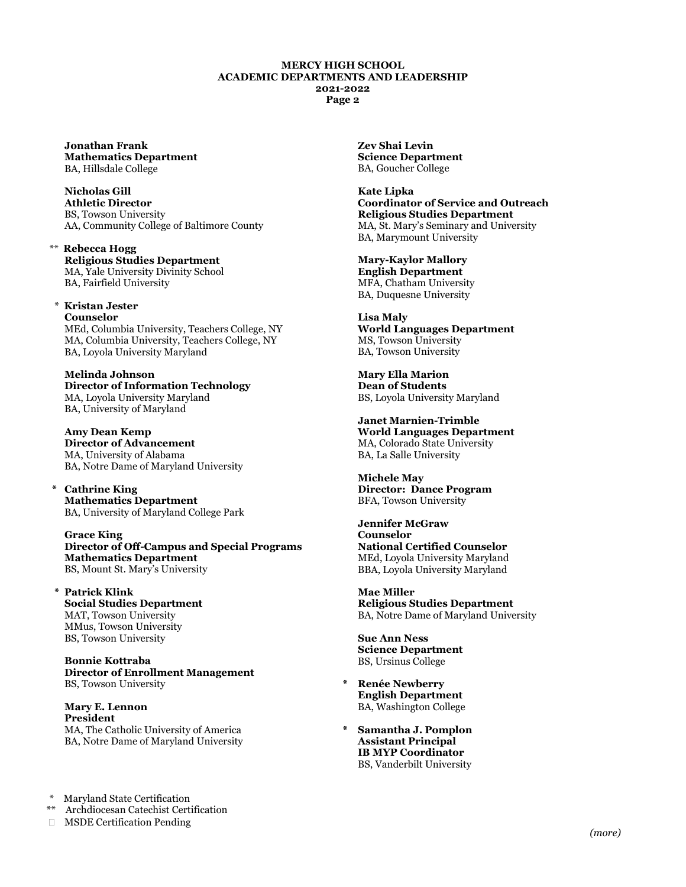#### **MERCY HIGH SCHOOL ACADEMIC DEPARTMENTS AND LEADERSHIP 2021-2022 Page 2**

**Jonathan Frank Mathematics Department** BA, Hillsdale College

**Nicholas Gill Athletic Director** BS, Towson University AA, Community College of Baltimore County

\*\* **Rebecca Hogg Religious Studies Department** MA, Yale University Divinity School BA, Fairfield University

\* **Kristan Jester Counselor** MEd, Columbia University, Teachers College, NY MA, Columbia University, Teachers College, NY BA, Loyola University Maryland

**Melinda Johnson Director of Information Technology** MA, Loyola University Maryland BA, University of Maryland

**Amy Dean Kemp Director of Advancement** MA, University of Alabama BA, Notre Dame of Maryland University

 **\* Cathrine King Mathematics Department** BA, University of Maryland College Park

**Grace King Director of Off-Campus and Special Programs Mathematics Department** BS, Mount St. Mary's University

**\* Patrick Klink Social Studies Department** MAT, Towson University MMus, Towson University BS, Towson University

**Bonnie Kottraba Director of Enrollment Management** BS, Towson University

**Mary E. Lennon President** MA, The Catholic University of America BA, Notre Dame of Maryland University

Maryland State Certification

\*\* Archdiocesan Catechist Certification

MSDE Certification Pending

**Zev Shai Levin Science Department** BA, Goucher College

**Kate Lipka Coordinator of Service and Outreach Religious Studies Department** MA, St. Mary's Seminary and University BA, Marymount University

**Mary-Kaylor Mallory English Department** MFA, Chatham University BA, Duquesne University

**Lisa Maly World Languages Department** MS, Towson University BA, Towson University

**Mary Ella Marion Dean of Students** BS, Loyola University Maryland

**Janet Marnien-Trimble World Languages Department** MA, Colorado State University BA, La Salle University

**Michele May Director: Dance Program** BFA, Towson University

**Jennifer McGraw Counselor National Certified Counselor** MEd, Loyola University Maryland BBA, Loyola University Maryland

**Mae Miller Religious Studies Department** BA, Notre Dame of Maryland University

**Sue Ann Ness Science Department** BS, Ursinus College

- **\* Renée Newberry English Department** BA, Washington College
- **\* Samantha J. Pomplon Assistant Principal IB MYP Coordinator** BS, Vanderbilt University